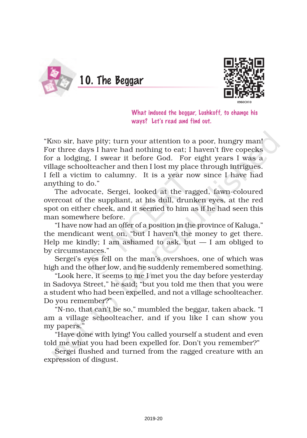



What induced the beggar, Lushkoff, to change his ways? Let's read and find out.

"KIND sir, have pity; turn your attention to a poor, hungry man! For three days I have had nothing to eat; I haven't five copecks for a lodging, I swear it before God. For eight years I was a village schoolteacher and then I lost my place through intrigues. I fell a victim to calumny. It is a year now since I have had anything to do."

The advocate, Sergei, looked at the ragged, fawn-coloured overcoat of the suppliant, at his dull, drunken eyes, at the red spot on either cheek, and it seemed to him as if he had seen this man somewhere before.

"I have now had an offer of a position in the province of Kaluga," the mendicant went on, "but I haven't the money to get there. Help me kindly; I am ashamed to ask, but  $-$  I am obliged to by circumstances."

Sergei's eyes fell on the man's overshoes, one of which was high and the other low, and he suddenly remembered something.

"Look here, it seems to me I met you the day before yesterday in Sadovya Street," he said; "but you told me then that you were a student who had been expelled, and not a village schoolteacher. Do you remember?"

"N-no, that can't be so," mumbled the beggar, taken aback. "I am a village schoolteacher, and if you like I can show you my papers."

"Have done with lying! You called yourself a student and even told me what you had been expelled for. Don't you remember?"

Sergei flushed and turned from the ragged creature with an expression of disgust.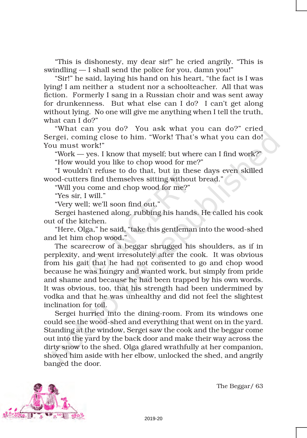"This is dishonesty, my dear sir!" he cried angrily. "This is swindling — I shall send the police for you, damn you!"

"Sir!" he said, laying his hand on his heart, "the fact is I was lying! I am neither a student nor a schoolteacher. All that was fiction. Formerly I sang in a Russian choir and was sent away for drunkenness. But what else can I do? I can't get along without lying. No one will give me anything when I tell the truth, what can I do?"

"What can you do? You ask what you can do?" cried Sergei, coming close to him. "Work! That's what you can do! You must work!"

"Work — yes. I know that myself; but where can I find work?" "How would you like to chop wood for me?"

"I wouldn't refuse to do that, but in these days even skilled wood-cutters find themselves sitting without bread."

"Will you come and chop wood for me?"

"Yes sir, I will."

"Very well; we'll soon find out."

Sergei hastened along, rubbing his hands. He called his cook out of the kitchen.

"Here, Olga," he said, "take this gentleman into the wood-shed and let him chop wood."

The scarecrow of a beggar shrugged his shoulders, as if in perplexity, and went irresolutely after the cook. It was obvious from his gait that he had not consented to go and chop wood because he was hungry and wanted work, but simply from pride and shame and because he had been trapped by his own words. It was obvious, too, that his strength had been undermined by vodka and that he was unhealthy and did not feel the slightest inclination for toil.

Sergei hurried into the dining-room. From its windows one could see the wood-shed and everything that went on in the yard. Standing at the window, Sergei saw the cook and the beggar come out into the yard by the back door and make their way across the dirty snow to the shed. Olga glared wrathfully at her companion, shoved him aside with her elbow, unlocked the shed, and angrily banged the door.



The Beggar/ 63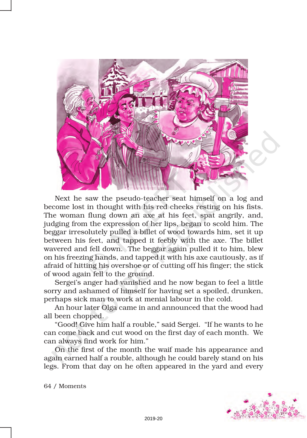

Next he saw the pseudo-teacher seat himself on a log and become lost in thought with his red cheeks resting on his fists. The woman flung down an axe at his feet, spat angrily, and, judging from the expression of her lips, began to scold him. The beggar irresolutely pulled a billet of wood towards him, set it up between his feet, and tapped it feebly with the axe. The billet wavered and fell down. The beggar again pulled it to him, blew on his freezing hands, and tapped it with his axe cautiously, as if afraid of hitting his overshoe or of cutting off his finger; the stick of wood again fell to the ground.

Sergei's anger had vanished and he now began to feel a little sorry and ashamed of himself for having set a spoiled, drunken, perhaps sick man to work at menial labour in the cold.

An hour later Olga came in and announced that the wood had all been chopped.

"Good! Give him half a rouble," said Sergei. "If he wants to he can come back and cut wood on the first day of each month. We can always find work for him."

On the first of the month the waif made his appearance and again earned half a rouble, although he could barely stand on his legs. From that day on he often appeared in the yard and every

64 / Moments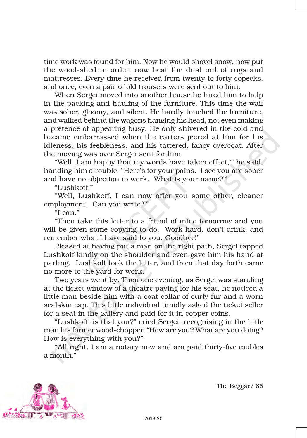time work was found for him. Now he would shovel snow, now put the wood-shed in order, now beat the dust out of rugs and mattresses. Every time he received from twenty to forty copecks, and once, even a pair of old trousers were sent out to him.

When Sergei moved into another house he hired him to help in the packing and hauling of the furniture. This time the waif was sober, gloomy, and silent. He hardly touched the furniture, and walked behind the wagons hanging his head, not even making a pretence of appearing busy. He only shivered in the cold and became embarrassed when the carters jeered at him for his idleness, his feebleness, and his tattered, fancy overcoat. After the moving was over Sergei sent for him.

"Well, I am happy that my words have taken effect,'" he said, handing him a rouble. "Here's for your pains. I see you are sober and have no objection to work. What is your name?'"

"Lushkoff."

"Well, Lushkoff, I can now offer you some other, cleaner employment. Can you write?'"

"I can."

"Then take this letter to a friend of mine tomorrow and you will be given some copying to do. Work hard, don't drink, and remember what I have said to you. Goodbye!"

Pleased at having put a man on the right path, Sergei tapped Lushkoff kindly on the shoulder and even gave him his hand at parting. Lushkoff took the letter, and from that day forth came no more to the yard for work.

Two years went by. Then one evening, as Sergei was standing at the ticket window of a theatre paying for his seat, he noticed a little man beside him with a coat collar of curly fur and a worn sealskin cap. This little individual timidly asked the ticket seller for a seat in the gallery and paid for it in copper coins.

"Lushkoff, is that you?" cried Sergei, recognising in the little man his former wood-chopper. "How are you? What are you doing? How is everything with you?"

"All right. I am a notary now and am paid thirty-five roubles a month."



The Beggar/ 65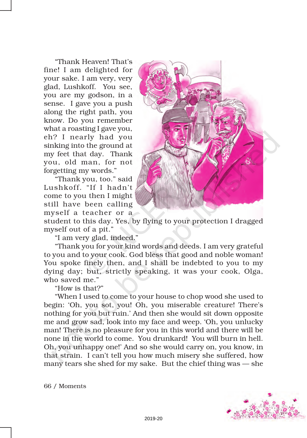"Thank Heaven! That's fine! I am delighted for your sake. I am very, very glad, Lushkoff. You see, you are my godson, in a sense. I gave you a push along the right path, you know. Do you remember what a roasting I gave you, eh? I nearly had you sinking into the ground at my feet that day. Thank you, old man, for not forgetting my words."

"Thank you, too." said Lushkoff. "If I hadn't come to you then I might still have been calling myself a teacher or a



student to this day. Yes, by flying to your protection I dragged myself out of a pit."

"I am very glad, indeed."

"Thank you for your kind words and deeds. I am very grateful to you and to your cook. God bless that good and noble woman! You spoke finely then, and I shall be indebted to you to my dying day; but, strictly speaking, it was your cook, Olga, who saved me."

"How is that?"

"When I used to come to your house to chop wood she used to begin: 'Oh, you sot, you! Oh, you miserable creature! There's nothing for you but ruin.' And then she would sit down opposite me and grow sad, look into my face and weep. 'Oh, you unlucky man! There is no pleasure for you in this world and there will be none in the world to come. You drunkard! You will burn in hell. Oh, you unhappy one!' And so she would carry on, you know, in that strain. I can't tell you how much misery she suffered, how many tears she shed for my sake. But the chief thing was — she

66 / Moments

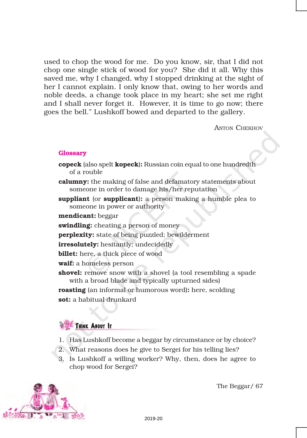used to chop the wood for me. Do you know, sir, that I did not chop one single stick of wood for you? She did it all. Why this saved me, why I changed, why I stopped drinking at the sight of her I cannot explain. I only know that, owing to her words and noble deeds, a change took place in my heart; she set me right and I shall never forget it. However, it is time to go now; there goes the bell." Lushkoff bowed and departed to the gallery.

ANTON CHEKHOV

## **Glossary**

- copeck (also spelt kopeck): Russian coin equal to one hundredth of a rouble
- **calumny:** the making of false and defamatory statements about someone in order to damage his/her reputation
- suppliant (or supplicant): a person making a humble plea to someone in power or authority

mendicant: beggar

swindling: cheating a person of money

**perplexity:** state of being puzzled; bewilderment

**irresolutely:** hesitantly; undecidedly

**billet:** here, a thick piece of wood

waif: a homeless person

shovel: remove snow with a shovel (a tool resembling a spade with a broad blade and typically upturned sides)

**roasting** (an informal or humorous word): here, scolding sot: a habitual drunkard

## **E THINK ABOUT IT**

- 1. Has Lushkoff become a beggar by circumstance or by choice?
- 2. What reasons does he give to Sergei for his telling lies?
- 3. Is Lushkoff a willing worker? Why, then, does he agree to chop wood for Sergei?



The Beggar/ 67